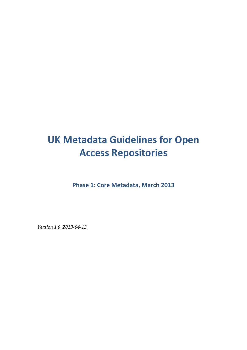# **UK Metadata Guidelines for Open Access Repositories**

**Phase 1: Core Metadata, March 2013** 

*Version 1.0 2013-04-13*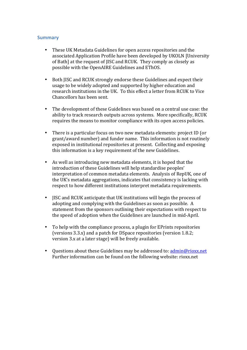# **Summary**

- These UK Metadata Guidelines for open access repositories and the associated Application Profile have been developed by UKOLN [University] of Bath] at the request of IISC and RCUK. They comply as closely as possible with the OpenAIRE Guidelines and EThOS.
- Both JISC and RCUK strongly endorse these Guidelines and expect their usage to be widely adopted and supported by higher education and research institutions in the UK. To this effect a letter from RCUK to Vice Chancellors has been sent.
- The development of these Guidelines was based on a central use case: the ability to track research outputs across systems. More specifically, RCUK requires the means to monitor compliance with its open access policies.
- There is a particular focus on two new metadata elements: project ID (or grant/award number) and funder name. This information is not routinely exposed in institutional repositories at present. Collecting and exposing this information is a key requirement of the new Guidelines.
- As well as introducing new metadata elements, it is hoped that the introduction of these Guidelines will help standardise peoples' interpretation of common metadata elements. Analysis of RepUK, one of the UK's metadata aggregations, indicates that consistency is lacking with respect to how different institutions interpret metadata requirements.
- JISC and RCUK anticipate that UK institutions will begin the process of adopting and complying with the Guidelines as soon as possible. A statement from the sponsors outlining their expectations with respect to the speed of adoption when the Guidelines are launched in mid-April.
- To help with the compliance process, a plugin for EPrints repositories (versions  $3.3.x$ ) and a patch for DSpace repositories (version  $1.8.2$ ; version 3.x at a later stage) will be freely available.
- Ouestions about these Guidelines may be addressed to:  $\frac{\text{admin@rioxx.net}}{\text{admin@rioxx.net}}$ Further information can be found on the following website: rioxx.net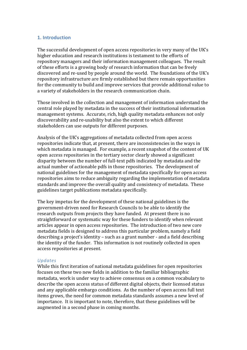### **1. Introduction**

The successful development of open access repositories in very many of the UK's higher education and research institutions is testament to the efforts of repository managers and their information management colleagues. The result of these efforts is a growing body of research information that can be freely discovered and re-used by people around the world. The foundations of the UK's repository infrastructure are firmly established but there remain opportunities for the community to build and improve services that provide additional value to a variety of stakeholders in the research communication chain.

Those involved in the collection and management of information understand the central role played by metadata in the success of their institutional information management systems. Accurate, rich, high quality metadata enhances not only discoverability and re-usability but also the extent to which different stakeholders can use outputs for different purposes.

Analysis of the UK's aggregations of metadata collected from open access repositories indicate that, at present, there are inconsistencies in the ways in which metadata is managed. For example, a recent snapshot of the content of UK open access repositories in the tertiary sector clearly showed a significant disparity between the number of full-text pdfs indicated by metadata and the actual number of actionable pdfs in those repositories. The development of national guidelines for the management of metadata specifically for open access repositories aims to reduce ambiguity regarding the implementation of metadata standards and improve the overall quality and consistency of metadata. These guidelines target publications metadata specifically.

The key impetus for the development of these national guidelines is the government-driven need for Research Councils to be able to identify the research outputs from projects they have funded. At present there is no straightforward or systematic way for these funders to identify when relevant articles appear in open access repositories. The introduction of two new core metadata fields is designed to address this particular problem, namely a field describing a project's identity – such as a grant number - and a field describing the identity of the funder. This information is not routinely collected in open access repositories at present.

#### *Updates*

While this first iteration of national metadata guidelines for open repositories focuses on these two new fields in addition to the familiar bibliographic metadata, work is under way to achieve consensus on a common vocabulary to describe the open access status of different digital objects, their licensed status and any applicable embargo conditions. As the number of open access full text items grows, the need for common metadata standards assumes a new level of importance. It is important to note, therefore, that these guidelines will be augmented in a second phase in coming months.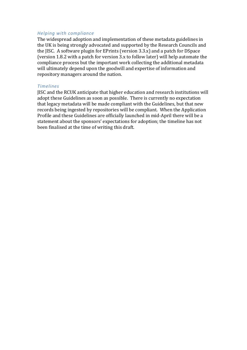#### *Helping with compliance*

The widespread adoption and implementation of these metadata guidelines in the UK is being strongly advocated and supported by the Research Councils and the JISC. A software plugin for EPrints (version 3.3.x) and a patch for DSpace (version 1.8.2 with a patch for version  $3.x$  to follow later) will help automate the compliance process but the important work collecting the additional metadata will ultimately depend upon the goodwill and expertise of information and repository managers around the nation.

#### *Timelines*

JISC and the RCUK anticipate that higher education and research institutions will adopt these Guidelines as soon as possible. There is currently no expectation that legacy metadata will be made compliant with the Guidelines, but that new records being ingested by repositories will be compliant. When the Application Profile and these Guidelines are officially launched in mid-April there will be a statement about the sponsors' expectations for adoption; the timeline has not been finalised at the time of writing this draft.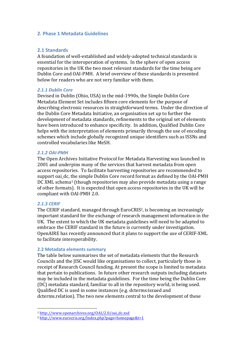### **2. Phase 1 Metadata Guidelines**

# **2.1 Standards**

A foundation of well-established and widely-adopted technical standards is essential for the interoperation of systems. In the sphere of open access repositories in the UK the two most relevant standards for the time being are Dublin Core and OAI-PMH. A brief overview of these standards is presented below for readers who are not very familiar with them.

### *2.1.1 Dublin Core*

Devised in Dublin (Ohio, USA) in the mid-1990s, the Simple Dublin Core Metadata Element Set includes fifteen core elements for the purpose of describing electronic resources in straightforward terms. Under the direction of the Dublin Core Metadata Initiative, an organisation set up to further the development of metadata standards, refinements to the original set of elements have been introduced to enhance specificity. In addition, Qualified Dublin Core helps with the interpretation of elements primarily through the use of encoding schemes which include globally recognized unique identifiers such as ISSNs and controlled vocabularies like MeSH.

### *2.1.2 OAI-PMH*

The Open Archives Initiative Protocol for Metadata Harvesting was launched in 2001 and underpins many of the services that harvest metadata from open access repositories. To facilitate harvesting repositories are recommended to support oai dc, the simple Dublin Core record format as defined by the OAI-PMH DC XML schema<sup>1</sup> (though repositories may also provide metadata using a range of other formats). It is expected that open access repositories in the UK will be compliant with OAI-PMH 2.0.

### *2.1.3 CERIF*

The CERIF standard, managed through EuroCRIS<sup>2</sup>, is becoming an increasingly important standard for the exchange of research management information in the UK. The extent to which the UK metadata guidelines will need to be adapted to embrace the CERIF standard in the future is currently under investigation. OpenAIRE has recently announced that it plans to support the use of CERIF-XML to facilitate interoperability.

#### **2.2 Metadata elements summary**

 

The table below summarises the set of metadata elements that the Research Councils and the IISC would like organisations to collect, particularly those in receipt of Research Council funding. At present the scope is limited to metadata that pertain to publications. In future other research outputs including datasets may be included in the metadata guidelines. For the time being the Dublin Core (DC) metadata standard, familiar to all in the repository world, is being used. Qualified DC is used in some instances (e.g. dcterms: issued and dcterms.relation). The two new elements central to the development of these

<sup>1</sup> http://www.openarchives.org/OAI/2.0/oai\_dc.xsd

<sup>2</sup> http://www.eurocris.org/Index.php?page=homepage&t=1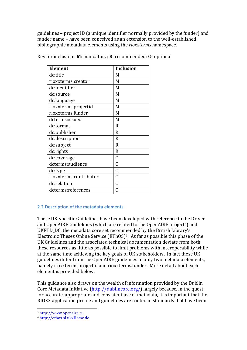guidelines – project ID (a unique identifier normally provided by the funder) and funder name – have been conceived as an extension to the well-established bibliographic metadata elements using the *rioxxterms* namespace.

| <b>Element</b>         | <b>Inclusion</b> |
|------------------------|------------------|
| dc:title               | M                |
| rioxxterms:creator     | M                |
| dc:identifier          | M                |
| dc:source              | M                |
| dc:language            | M                |
| rioxxterms.projectid   | M                |
| rioxxterms.funder      | M                |
| dcterms:issued         | M                |
| dc:format              | R                |
| dc:publisher           | R                |
| dc:description         | R                |
| dc:subject             | R                |
| dc:rights              | R                |
| dc:coverage            | 0                |
| dcterms:audience       | 0                |
| dc:type                | 0                |
| rioxxterms:contributor | Ω                |
| dc:relation            | ∩                |
| dcterms:references     | 0                |

Key for inclusion: **M**: mandatory; **R**: recommended; **O**: optional

# **2.2 Description of the metadata elements**

These UK-specific Guidelines have been developed with reference to the Driver and OpenAIRE Guidelines (which are related to the OpenAIRE project<sup>3</sup>) and UKETD DC, the metadata core set recommended by the British Library's Electronic Theses Online Service  $(EThOS)^4$ . As far as possible this phase of the UK Guidelines and the associated technical documentation deviate from both these resources as little as possible to limit problems with interoperability while at the same time achieving the key goals of UK stakeholders. In fact these UK guidelines differ from the OpenAIRE guidelines in only two metadata elements, namely rioxxterms.projectid and rioxxterms.funder. More detail about each element is provided below.

This guidance also draws on the wealth of information provided by the Dublin Core Metadata Initiative  $\frac{(\text{http://dublincore.org/})}{(\text{http://dublincore.org/})}$  largely because, in the quest for accurate, appropriate and consistent use of metadata, it is important that the RIOXX application profile and guidelines are rooted in standards that have been

 

<sup>3</sup> http://www.openaire.eu

<sup>4</sup> http://ethos.bl.uk/Home.do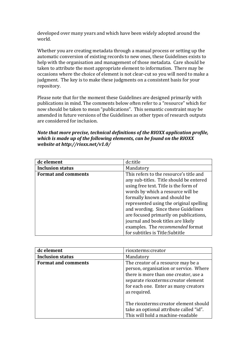developed over many years and which have been widely adopted around the world.

Whether you are creating metadata through a manual process or setting up the automatic conversion of existing records to new ones, these Guidelines exists to help with the organisation and management of those metadata. Care should be taken to attribute the most appropriate element to information. There may be occasions where the choice of element is not clear-cut so you will need to make a judgment. The key is to make these judgments on a consistent basis for your repository.

Please note that for the moment these Guidelines are designed primarily with publications in mind. The comments below often refer to a "resource" which for now should be taken to mean "publications". This semantic constraint may be amended in future versions of the Guidelines as other types of research outputs are considered for inclusion.

*Note that more precise, technical definitions of the RIOXX application profile, which is made up of the following elements, can be found on the RIOXX website at http://rioxx.net/v1.0/*

| dc element                 | dc:title                                |
|----------------------------|-----------------------------------------|
| <b>Inclusion status</b>    | Mandatory                               |
| <b>Format and comments</b> | This refers to the resource's title and |
|                            | any sub-titles. Title should be entered |
|                            | using free text. Title is the form of   |
|                            | words by which a resource will be       |
|                            | formally known and should be            |
|                            | represented using the original spelling |
|                            | and wording. Since these Guidelines     |
|                            | are focused primarily on publications,  |
|                            | journal and book titles are likely      |
|                            | examples. The recommended format        |
|                            | for subtitles is Title: Subtitle        |

| dc element                 | rioxxterms:creator                                                                                                                                                                                                    |
|----------------------------|-----------------------------------------------------------------------------------------------------------------------------------------------------------------------------------------------------------------------|
| <b>Inclusion status</b>    | Mandatory                                                                                                                                                                                                             |
| <b>Format and comments</b> | The creator of a resource may be a<br>person, organisation or service. Where<br>there is more than one creator, use a<br>separate rioxxterms: creator element<br>for each one. Enter as many creators<br>as required. |
|                            | The rioxxterms: creator element should<br>take an optional attribute called "id".<br>This will hold a machine-readable                                                                                                |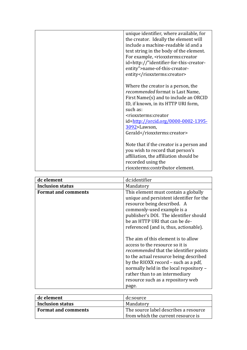|  | unique identifier, where available, for<br>the creator. Ideally the element will |
|--|----------------------------------------------------------------------------------|
|  | include a machine-readable id and a                                              |
|  | text string in the body of the element.                                          |
|  | For example, <rioxxterms: creator<="" th=""></rioxxterms:>                       |
|  | id=http://"identifier-for-this-creator-                                          |
|  | entity">name-of-this-creator-                                                    |
|  | entity                                                                           |
|  |                                                                                  |
|  | Where the creator is a person, the                                               |
|  | <i>recommended</i> format is Last Name,                                          |
|  | First Name(s) and to include an ORCID                                            |
|  | ID, if known, in its HTTP URI form,                                              |
|  | such as:                                                                         |
|  | <rioxxterms:creator< th=""></rioxxterms:creator<>                                |
|  | id=http://orcid.org/0000-0002-1395-                                              |
|  | 3092>Lawson,                                                                     |
|  | Gerald                                                                           |
|  |                                                                                  |
|  | Note that if the creator is a person and                                         |
|  | you wish to record that person's                                                 |
|  | affiliation, the affiliation should be                                           |
|  | recorded using the                                                               |
|  | rioxxterms: contributor element.                                                 |

| dc element                 | dc:identifier                                                                                                                                                                                                                                                                                                                        |
|----------------------------|--------------------------------------------------------------------------------------------------------------------------------------------------------------------------------------------------------------------------------------------------------------------------------------------------------------------------------------|
| <b>Inclusion status</b>    | Mandatory                                                                                                                                                                                                                                                                                                                            |
| <b>Format and comments</b> | This element must contain a globally<br>unique and persistent identifier for the<br>resource being described. A<br>commonly-used example is a<br>publisher's DOI. The identifier should<br>be an HTTP URI that can be de-<br>referenced (and is, thus, actionable).                                                                  |
|                            | The aim of this element is to allow<br>access to the resource so it is<br><i>recommended</i> that the identifier points<br>to the actual resource being described<br>by the RIOXX record - such as a pdf,<br>normally held in the local repository -<br>rather than to an intermediary<br>resource such as a repository web<br>page. |

| dc element                 | dc:source                             |
|----------------------------|---------------------------------------|
| Inclusion status           | Mandatory                             |
| <b>Format and comments</b> | The source label describes a resource |
|                            | from which the current resource is    |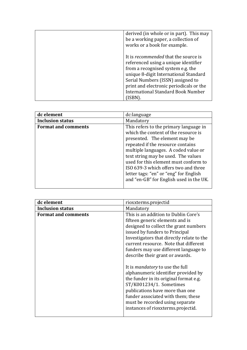| derived (in whole or in part). This may<br>be a working paper, a collection of<br>works or a book for example.                                                                                                                                                                                 |
|------------------------------------------------------------------------------------------------------------------------------------------------------------------------------------------------------------------------------------------------------------------------------------------------|
| It is <i>recommended</i> that the source is<br>referenced using a unique identifier<br>from a recognised system e.g. the<br>unique 8-digit International Standard<br>Serial Numbers (ISSN) assigned to<br>print and electronic periodicals or the<br><b>International Standard Book Number</b> |

| dc element                 | dc:language                                                                                                                                                                                                                                                                                                                                                                                               |
|----------------------------|-----------------------------------------------------------------------------------------------------------------------------------------------------------------------------------------------------------------------------------------------------------------------------------------------------------------------------------------------------------------------------------------------------------|
| <b>Inclusion status</b>    | Mandatory                                                                                                                                                                                                                                                                                                                                                                                                 |
| <b>Format and comments</b> | This refers to the primary language in<br>which the content of the resource is<br>presented. The element may be<br>repeated if the resource contains<br>multiple languages. A coded value or<br>text string may be used. The values<br>used for this element must conform to<br>ISO 639-3 which offers two and three<br>letter tags: "en" or "eng" for English<br>and "en-GB" for English used in the UK. |

| dc element                 | rioxxterms.projectid                      |
|----------------------------|-------------------------------------------|
| <b>Inclusion status</b>    | Mandatory                                 |
| <b>Format and comments</b> | This is an addition to Dublin Core's      |
|                            | fifteen generic elements and is           |
|                            | designed to collect the grant numbers     |
|                            | issued by funders to Principal            |
|                            | Investigators that directly relate to the |
|                            | current resource. Note that different     |
|                            | funders may use different language to     |
|                            | describe their grant or awards.           |
|                            |                                           |
|                            | It is <i>mandatory</i> to use the full    |
|                            | alphanumeric identifier provided by       |
|                            | the funder in its original format e.g.    |
|                            | ST/K001234/1. Sometimes                   |
|                            | publications have more than one           |
|                            | funder associated with them; these        |
|                            | must be recorded using separate           |
|                            | instances of rioxxterms.projectid.        |
|                            |                                           |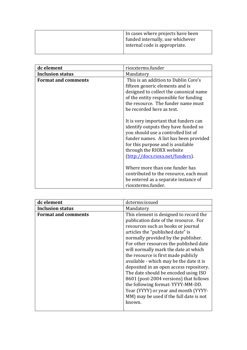|  | In cases where projects have been<br>funded internally, use whichever<br>internal code is appropriate. |
|--|--------------------------------------------------------------------------------------------------------|
|--|--------------------------------------------------------------------------------------------------------|

| dc element                 | rioxxterms.funder                                                                                                                                                                                                                                                    |
|----------------------------|----------------------------------------------------------------------------------------------------------------------------------------------------------------------------------------------------------------------------------------------------------------------|
| <b>Inclusion status</b>    | Mandatory                                                                                                                                                                                                                                                            |
| <b>Format and comments</b> | This is an addition to Dublin Core's<br>fifteen generic elements and is<br>designed to collect the canonical name<br>of the entity responsible for funding<br>the resource. The funder name must<br>be recorded here as text.                                        |
|                            | It is very important that funders can<br>identify outputs they have funded so<br>you should use a controlled list of<br>funder names. A list has been provided<br>for this purpose and is available<br>through the RIOXX website<br>(http://docs.rioxx.net/funders). |
|                            | Where more than one funder has<br>contributed to the resource, each must<br>be entered as a separate instance of<br>rioxxterms.funder.                                                                                                                               |

| dc element                 | dcterms:issued                                                                                                                                                                                                                                                                                                            |
|----------------------------|---------------------------------------------------------------------------------------------------------------------------------------------------------------------------------------------------------------------------------------------------------------------------------------------------------------------------|
| <b>Inclusion status</b>    | Mandatory                                                                                                                                                                                                                                                                                                                 |
| <b>Format and comments</b> | This element is designed to record the<br>publication date of the resource. For<br>resources such as books or journal<br>articles the "published date" is<br>normally provided by the publisher.<br>For other resources the published date<br>will normally mark the date at which<br>the resource is first made publicly |
|                            | available - which may be the date it is<br>deposited in an open access repository.<br>The date should be encoded using ISO<br>8601 (post-2004 versions) that follows<br>the following format: YYYY-MM-DD.<br>Year (YYYY) or year and month (YYYY-<br>MM) may be used if the full date is not<br>known.                    |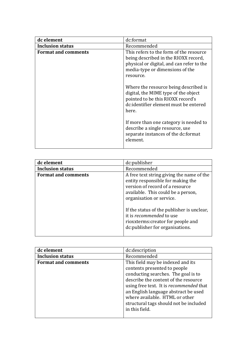| dc element                 | dc:format                                                                                                                                                                    |
|----------------------------|------------------------------------------------------------------------------------------------------------------------------------------------------------------------------|
| <b>Inclusion status</b>    | Recommended                                                                                                                                                                  |
| <b>Format and comments</b> | This refers to the form of the resource<br>being described in the RIOXX record,<br>physical or digital, and can refer to the<br>media-type or dimensions of the<br>resource. |
|                            | Where the resource being described is<br>digital, the MIME type of the object<br>pointed to be this RIOXX record's<br>dc:identifier element must be entered<br>here.         |
|                            | If more than one category is needed to<br>describe a single resource, use<br>separate instances of the dc:format<br>element.                                                 |

| dc element                 | dc:publisher                                                                                                                                                                                                                                                                                                                                   |
|----------------------------|------------------------------------------------------------------------------------------------------------------------------------------------------------------------------------------------------------------------------------------------------------------------------------------------------------------------------------------------|
| <b>Inclusion status</b>    | Recommended                                                                                                                                                                                                                                                                                                                                    |
| <b>Format and comments</b> | A free text string giving the name of the<br>entity responsible for making the<br>version of record of a resource<br>available. This could be a person,<br>organisation or service.<br>If the status of the publisher is unclear,<br>it is <i>recommended</i> to use<br>rioxxterms: creator for people and<br>dc: publisher for organisations. |

| dc element                 | dc:description                                                                                                                                                                                                                                                                                                                    |
|----------------------------|-----------------------------------------------------------------------------------------------------------------------------------------------------------------------------------------------------------------------------------------------------------------------------------------------------------------------------------|
| <b>Inclusion status</b>    | Recommended                                                                                                                                                                                                                                                                                                                       |
| <b>Format and comments</b> | This field may be indexed and its<br>contents presented to people<br>conducting searches. The goal is to<br>describe the content of the resource<br>using free text. It is recommended that<br>an English language abstract be used<br>where available. HTML or other<br>structural tags should not be included<br>in this field. |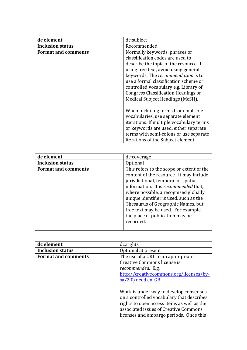| dc element                 | dc:subject                                                                                                                                                                                                                                                                                                                                                    |
|----------------------------|---------------------------------------------------------------------------------------------------------------------------------------------------------------------------------------------------------------------------------------------------------------------------------------------------------------------------------------------------------------|
| <b>Inclusion status</b>    | Recommended                                                                                                                                                                                                                                                                                                                                                   |
| <b>Format and comments</b> | Normally keywords, phrases or<br>classification codes are used to<br>describe the topic of the resource. If<br>using free text, avoid using general<br>keywords. The recommendation is to<br>use a formal classification scheme or<br>controlled vocabulary e.g. Library of<br><b>Congress Classification Headings or</b><br>Medical Subject Headings (MeSH). |
|                            | When including terms from multiple<br>vocabularies, use separate element<br>iterations. If multiple vocabulary terms<br>or keywords are used, either separate<br>terms with semi-colons or use separate<br>iterations of the Subject element.                                                                                                                 |

| dc element                 | dc:coverage                                                                                                                                                                                                                                                                                                                                                                         |
|----------------------------|-------------------------------------------------------------------------------------------------------------------------------------------------------------------------------------------------------------------------------------------------------------------------------------------------------------------------------------------------------------------------------------|
| <b>Inclusion status</b>    | Optional                                                                                                                                                                                                                                                                                                                                                                            |
| <b>Format and comments</b> | This refers to the scope or extent of the<br>content of the resource. It may include<br>jurisdictional, temporal or spatial<br>information. It is recommended that,<br>where possible, a recognised globally<br>unique identifier is used, such as the<br>Thesaurus of Geographic Names, but<br>free text may be used. For example,<br>the place of publication may be<br>recorded. |

| dc element                 | dc:rights                                  |
|----------------------------|--------------------------------------------|
| <b>Inclusion status</b>    | Optional at present                        |
| <b>Format and comments</b> | The use of a URL to an appropriate         |
|                            | Creative Commons license is                |
|                            | recommended. E.g.                          |
|                            | http://creativecommons.org/licenses/by-    |
|                            | $sa/2.0/deed.$ en GB                       |
|                            |                                            |
|                            | Work is under way to develop consensus     |
|                            | on a controlled vocabulary that describes  |
|                            | rights to open access items as well as the |
|                            | associated issues of Creative Commons      |
|                            | licenses and embargo periods. Once this    |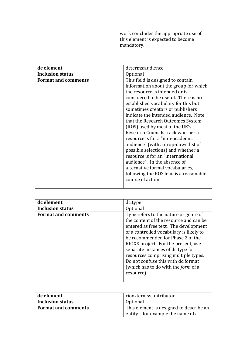|  | work concludes the appropriate use of<br>this element is expected to become<br>mandatory. |
|--|-------------------------------------------------------------------------------------------|
|--|-------------------------------------------------------------------------------------------|

| dc element                 | dcterms:audience                                                                                                                                                                                                                                                                                                                                                                                                                                                                                                                                                                                                                                                            |
|----------------------------|-----------------------------------------------------------------------------------------------------------------------------------------------------------------------------------------------------------------------------------------------------------------------------------------------------------------------------------------------------------------------------------------------------------------------------------------------------------------------------------------------------------------------------------------------------------------------------------------------------------------------------------------------------------------------------|
| <b>Inclusion status</b>    | Optional                                                                                                                                                                                                                                                                                                                                                                                                                                                                                                                                                                                                                                                                    |
| <b>Format and comments</b> | This field is designed to contain<br>information about the group for which<br>the resource is intended or is<br>considered to be useful. There is no<br>established vocabulary for this but<br>sometimes creators or publishers<br>indicate the intended audience. Note<br>that the Research Outcomes System<br>(ROS) used by most of the UK's<br>Research Councils track whether a<br>resource is for a "non-academic<br>audience" (with a drop-down list of<br>possible selections) and whether a<br>resource is for an "international<br>audience". In the absence of<br>alternative formal vocabularies,<br>following the ROS lead is a reasonable<br>course of action. |

| dc element                 | dc:type                                    |
|----------------------------|--------------------------------------------|
| <b>Inclusion status</b>    | Optional                                   |
| <b>Format and comments</b> | Type refers to the nature or genre of      |
|                            | the content of the resource and can be     |
|                            | entered as free text. The development      |
|                            | of a controlled vocabulary is likely to    |
|                            | be recommended for Phase 2 of the          |
|                            | RIOXX project. For the present, use        |
|                            | separate instances of dc:type for          |
|                            | resources comprising multiple types.       |
|                            | Do not confuse this with dc: format        |
|                            | (which has to do with the <i>form</i> of a |
|                            | resource).                                 |
|                            |                                            |

| dc element                 | rioxxterms:contributor                  |
|----------------------------|-----------------------------------------|
| <b>Inclusion status</b>    | Optional                                |
| <b>Format and comments</b> | This element is designed to describe an |
|                            | entity – for example the name of a      |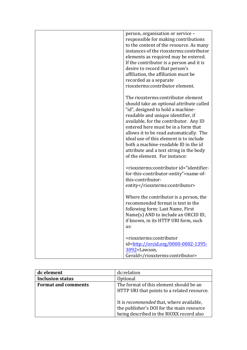| person, organisation or service -<br>responsible for making contributions<br>to the content of the resource. As many<br>instances of the rioxxterms: contributor<br>elements as required may be entered.<br>If the contributor is a person and it is<br>desire to record that person's<br>affiliation, the affiliation must be<br>recorded as a separate                                                                                                                                  |
|-------------------------------------------------------------------------------------------------------------------------------------------------------------------------------------------------------------------------------------------------------------------------------------------------------------------------------------------------------------------------------------------------------------------------------------------------------------------------------------------|
| rioxxterms: contributor element.<br>The rioxxterms: contributor element<br>should take an optional attribute called<br>"id", designed to hold a machine-<br>readable and unique identifier, if<br>available, for the contributor. Any ID<br>entered here must be in a form that<br>allows it to be read automatically. The<br>ideal use of this element is to include<br>both a machine-readable ID in the id<br>attribute and a text string in the body<br>of the element. For instance: |
| <rioxxterms:contributor id="identifier-&lt;br&gt;for-this-contributor-entity">name-of-<br/>this-contributor-<br/>entity</rioxxterms:contributor>                                                                                                                                                                                                                                                                                                                                          |
| Where the contributor is a person, the<br>recommended format is text in the<br>following form: Last Name, First<br>Name(s) AND to include an ORCID ID<br>if known, in its HTTP URI form, such<br>as:                                                                                                                                                                                                                                                                                      |
| <rioxxterms:contributor<br>id=http://orcid.org/0000-0002-1395-<br/>3092&gt;Lawson,<br/>Gerald</rioxxterms:contributor<br>                                                                                                                                                                                                                                                                                                                                                                 |

| dc element                 | dc:relation                                                                                                                       |
|----------------------------|-----------------------------------------------------------------------------------------------------------------------------------|
| <b>Inclusion status</b>    | Optional                                                                                                                          |
| <b>Format and comments</b> | The format of this element should be an<br>HTTP URI that points to a related resource.                                            |
|                            | It is recommended that, where available,<br>the publisher's DOI for the main resource<br>being described in the RIOXX record also |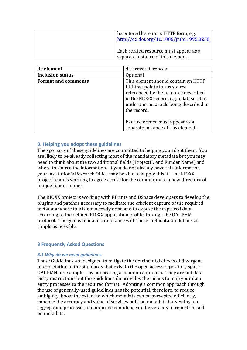| be entered here in its HTTP form, e.g.<br>http://dx.doi.org/10.1006/jmbi.1995.0238 |
|------------------------------------------------------------------------------------|
| Each related resource must appear as a<br>separate instance of this element        |

| dc element                 | dcterms:references                                                                                                                                                                                                 |
|----------------------------|--------------------------------------------------------------------------------------------------------------------------------------------------------------------------------------------------------------------|
| <b>Inclusion status</b>    | Optional                                                                                                                                                                                                           |
| <b>Format and comments</b> | This element should contain an HTTP<br>URI that points to a resource<br>referenced by the resource described<br>in the RIOXX record, e.g. a dataset that<br>underpins an article being described in<br>the record. |
|                            | Each reference must appear as a<br>separate instance of this element.                                                                                                                                              |

# **3. Helping you adopt these guidelines**

The sponsors of these guidelines are committed to helping you adopt them. You are likely to be already collecting most of the mandatory metadata but you may need to think about the two additional fields (ProjectID and Funder Name) and where to source the information. If you do not already have this information your institution's Research Office may be able to supply this it. The RIOXX project team is working to agree access for the community to a new directory of unique funder names.

The RIOXX project is working with EPrints and DSpace developers to develop the plugins and patches necessary to facilitate the efficient capture of the required metadata where this is not already done and to expose the captured data, according to the defined RIOXX application profile, through the OAI-PHM protocol. The goal is to make compliance with these metadata Guidelines as simple as possible.

### **3 Frequently Asked Questions**

### *3.1 Why do we need guidelines*

These Guidelines are designed to mitigate the detrimental effects of divergent interpretation of the standards that exist in the open access repository space – OAI-PMH for example  $-$  by advocating a common approach. They are not data entry instructions but the guidelines do provides the means to map your data entry processes to the required format. Adopting a common approach through the use of generally-used guidelines has the potential, therefore, to reduce ambiguity, boost the extent to which metadata can be harvested efficiently, enhance the accuracy and value of services built on metadata harvesting and aggregation processes and improve confidence in the veracity of reports based on metadata.